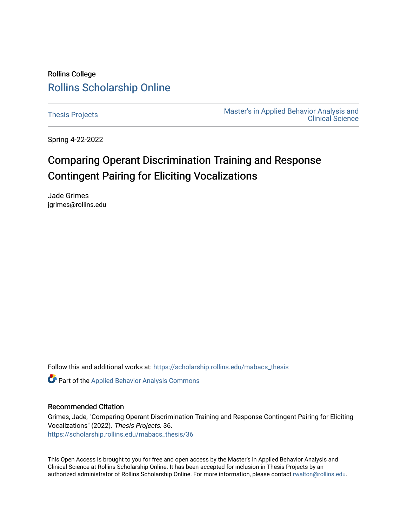# Rollins College [Rollins Scholarship Online](https://scholarship.rollins.edu/)

[Thesis Projects](https://scholarship.rollins.edu/mabacs_thesis) **Master's in Applied Behavior Analysis and** Master's in Applied Behavior Analysis and [Clinical Science](https://scholarship.rollins.edu/mabacs) 

Spring 4-22-2022

# Comparing Operant Discrimination Training and Response Contingent Pairing for Eliciting Vocalizations

Jade Grimes jgrimes@rollins.edu

Follow this and additional works at: [https://scholarship.rollins.edu/mabacs\\_thesis](https://scholarship.rollins.edu/mabacs_thesis?utm_source=scholarship.rollins.edu%2Fmabacs_thesis%2F36&utm_medium=PDF&utm_campaign=PDFCoverPages) 

Part of the [Applied Behavior Analysis Commons](https://network.bepress.com/hgg/discipline/1235?utm_source=scholarship.rollins.edu%2Fmabacs_thesis%2F36&utm_medium=PDF&utm_campaign=PDFCoverPages)

### Recommended Citation

Grimes, Jade, "Comparing Operant Discrimination Training and Response Contingent Pairing for Eliciting Vocalizations" (2022). Thesis Projects. 36. [https://scholarship.rollins.edu/mabacs\\_thesis/36](https://scholarship.rollins.edu/mabacs_thesis/36?utm_source=scholarship.rollins.edu%2Fmabacs_thesis%2F36&utm_medium=PDF&utm_campaign=PDFCoverPages) 

This Open Access is brought to you for free and open access by the Master's in Applied Behavior Analysis and Clinical Science at Rollins Scholarship Online. It has been accepted for inclusion in Thesis Projects by an authorized administrator of Rollins Scholarship Online. For more information, please contact [rwalton@rollins.edu](mailto:rwalton@rollins.edu).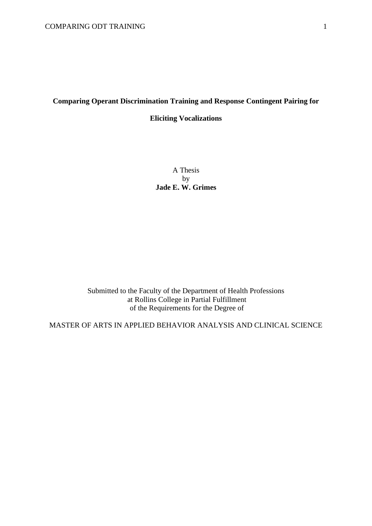# **Comparing Operant Discrimination Training and Response Contingent Pairing for**

## **Eliciting Vocalizations**

A Thesis by **Jade E. W. Grimes**

Submitted to the Faculty of the Department of Health Professions at Rollins College in Partial Fulfillment of the Requirements for the Degree of

MASTER OF ARTS IN APPLIED BEHAVIOR ANALYSIS AND CLINICAL SCIENCE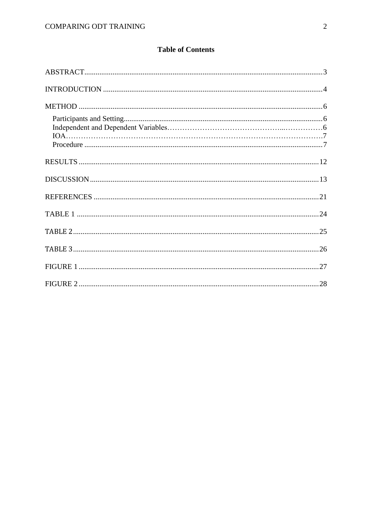# **Table of Contents**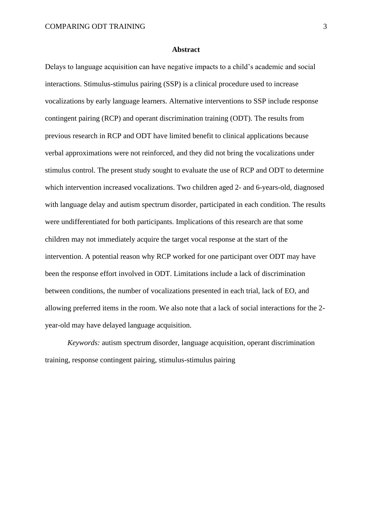#### **Abstract**

Delays to language acquisition can have negative impacts to a child's academic and social interactions. Stimulus-stimulus pairing (SSP) is a clinical procedure used to increase vocalizations by early language learners. Alternative interventions to SSP include response contingent pairing (RCP) and operant discrimination training (ODT). The results from previous research in RCP and ODT have limited benefit to clinical applications because verbal approximations were not reinforced, and they did not bring the vocalizations under stimulus control. The present study sought to evaluate the use of RCP and ODT to determine which intervention increased vocalizations. Two children aged 2- and 6-years-old, diagnosed with language delay and autism spectrum disorder, participated in each condition. The results were undifferentiated for both participants. Implications of this research are that some children may not immediately acquire the target vocal response at the start of the intervention. A potential reason why RCP worked for one participant over ODT may have been the response effort involved in ODT. Limitations include a lack of discrimination between conditions, the number of vocalizations presented in each trial, lack of EO, and allowing preferred items in the room. We also note that a lack of social interactions for the 2 year-old may have delayed language acquisition.

*Keywords:* autism spectrum disorder, language acquisition, operant discrimination training, response contingent pairing, stimulus-stimulus pairing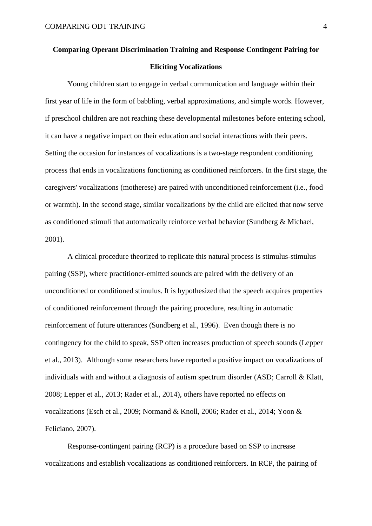# **Comparing Operant Discrimination Training and Response Contingent Pairing for Eliciting Vocalizations**

Young children start to engage in verbal communication and language within their first year of life in the form of babbling, verbal approximations, and simple words. However, if preschool children are not reaching these developmental milestones before entering school, it can have a negative impact on their education and social interactions with their peers. Setting the occasion for instances of vocalizations is a two-stage respondent conditioning process that ends in vocalizations functioning as conditioned reinforcers. In the first stage, the caregivers' vocalizations (motherese) are paired with unconditioned reinforcement (i.e., food or warmth). In the second stage, similar vocalizations by the child are elicited that now serve as conditioned stimuli that automatically reinforce verbal behavior (Sundberg & Michael, 2001).

A clinical procedure theorized to replicate this natural process is stimulus-stimulus pairing (SSP), where practitioner-emitted sounds are paired with the delivery of an unconditioned or conditioned stimulus. It is hypothesized that the speech acquires properties of conditioned reinforcement through the pairing procedure, resulting in automatic reinforcement of future utterances (Sundberg et al., 1996). Even though there is no contingency for the child to speak, SSP often increases production of speech sounds (Lepper et al., 2013). Although some researchers have reported a positive impact on vocalizations of individuals with and without a diagnosis of autism spectrum disorder (ASD; Carroll & Klatt, 2008; Lepper et al., 2013; Rader et al., 2014), others have reported no effects on vocalizations (Esch et al., 2009; Normand & Knoll, 2006; Rader et al., 2014; Yoon & Feliciano, 2007).

Response-contingent pairing (RCP) is a procedure based on SSP to increase vocalizations and establish vocalizations as conditioned reinforcers. In RCP, the pairing of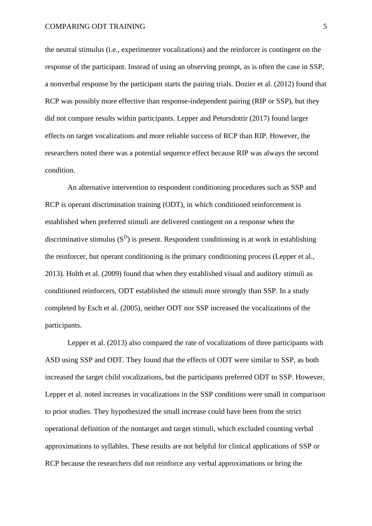the neutral stimulus (i.e., experimenter vocalizations) and the reinforcer is contingent on the response of the participant. Instead of using an observing prompt, as is often the case in SSP, a nonverbal response by the participant starts the pairing trials. Dozier et al. (2012) found that RCP was possibly more effective than response-independent pairing (RIP or SSP), but they did not compare results within participants. Lepper and Petursdottir (2017) found larger effects on target vocalizations and more reliable success of RCP than RIP. However, the researchers noted there was a potential sequence effect because RIP was always the second condition.

An alternative intervention to respondent conditioning procedures such as SSP and RCP is operant discrimination training (ODT), in which conditioned reinforcement is established when preferred stimuli are delivered contingent on a response when the discriminative stimulus  $(S<sup>D</sup>)$  is present. Respondent conditioning is at work in establishing the reinforcer, but operant conditioning is the primary conditioning process (Lepper et al., 2013). Holth et al. (2009) found that when they established visual and auditory stimuli as conditioned reinforcers, ODT established the stimuli more strongly than SSP. In a study completed by Esch et al. (2005), neither ODT nor SSP increased the vocalizations of the participants.

Lepper et al. (2013) also compared the rate of vocalizations of three participants with ASD using SSP and ODT. They found that the effects of ODT were similar to SSP, as both increased the target child vocalizations, but the participants preferred ODT to SSP. However, Lepper et al. noted increases in vocalizations in the SSP conditions were small in comparison to prior studies. They hypothesized the small increase could have been from the strict operational definition of the nontarget and target stimuli, which excluded counting verbal approximations to syllables. These results are not helpful for clinical applications of SSP or RCP because the researchers did not reinforce any verbal approximations or bring the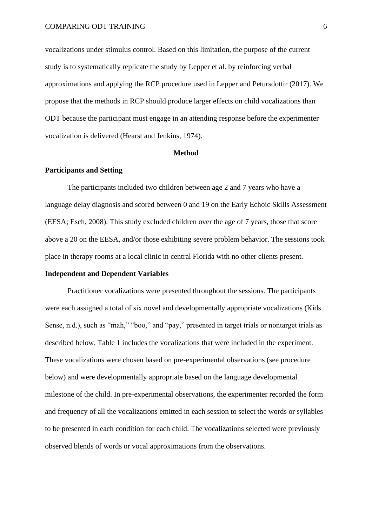vocalizations under stimulus control. Based on this limitation, the purpose of the current study is to systematically replicate the study by Lepper et al. by reinforcing verbal approximations and applying the RCP procedure used in Lepper and Petursdottir (2017). We propose that the methods in RCP should produce larger effects on child vocalizations than ODT because the participant must engage in an attending response before the experimenter vocalization is delivered (Hearst and Jenkins, 1974).

#### **Method**

#### **Participants and Setting**

The participants included two children between age 2 and 7 years who have a language delay diagnosis and scored between 0 and 19 on the Early Echoic Skills Assessment (EESA; Esch, 2008). This study excluded children over the age of 7 years, those that score above a 20 on the EESA, and/or those exhibiting severe problem behavior. The sessions took place in therapy rooms at a local clinic in central Florida with no other clients present.

## **Independent and Dependent Variables**

Practitioner vocalizations were presented throughout the sessions. The participants were each assigned a total of six novel and developmentally appropriate vocalizations (Kids Sense, n.d.), such as "mah," "boo," and "pay," presented in target trials or nontarget trials as described below. Table 1 includes the vocalizations that were included in the experiment. These vocalizations were chosen based on pre-experimental observations (see procedure below) and were developmentally appropriate based on the language developmental milestone of the child. In pre-experimental observations, the experimenter recorded the form and frequency of all the vocalizations emitted in each session to select the words or syllables to be presented in each condition for each child. The vocalizations selected were previously observed blends of words or vocal approximations from the observations.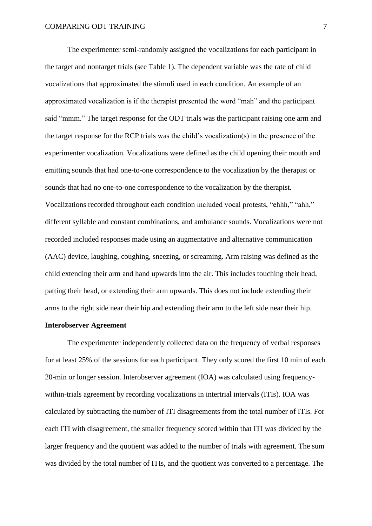The experimenter semi-randomly assigned the vocalizations for each participant in the target and nontarget trials (see Table 1). The dependent variable was the rate of child vocalizations that approximated the stimuli used in each condition. An example of an approximated vocalization is if the therapist presented the word "mah" and the participant said "mmm." The target response for the ODT trials was the participant raising one arm and the target response for the RCP trials was the child's vocalization(s) in the presence of the experimenter vocalization. Vocalizations were defined as the child opening their mouth and emitting sounds that had one-to-one correspondence to the vocalization by the therapist or sounds that had no one-to-one correspondence to the vocalization by the therapist. Vocalizations recorded throughout each condition included vocal protests, "ehhh," "ahh," different syllable and constant combinations, and ambulance sounds. Vocalizations were not recorded included responses made using an augmentative and alternative communication (AAC) device, laughing, coughing, sneezing, or screaming. Arm raising was defined as the child extending their arm and hand upwards into the air. This includes touching their head, patting their head, or extending their arm upwards. This does not include extending their arms to the right side near their hip and extending their arm to the left side near their hip.

## **Interobserver Agreement**

The experimenter independently collected data on the frequency of verbal responses for at least 25% of the sessions for each participant. They only scored the first 10 min of each 20-min or longer session. Interobserver agreement (IOA) was calculated using frequencywithin-trials agreement by recording vocalizations in intertrial intervals (ITIs). IOA was calculated by subtracting the number of ITI disagreements from the total number of ITIs. For each ITI with disagreement, the smaller frequency scored within that ITI was divided by the larger frequency and the quotient was added to the number of trials with agreement. The sum was divided by the total number of ITIs, and the quotient was converted to a percentage. The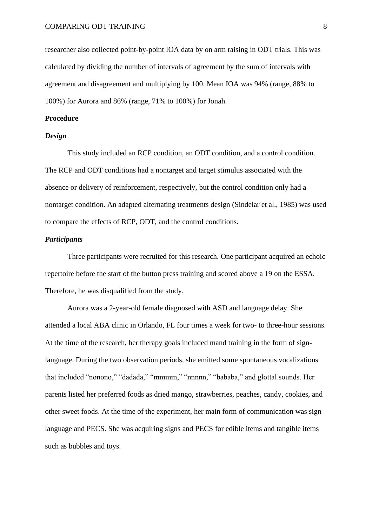researcher also collected point-by-point IOA data by on arm raising in ODT trials. This was calculated by dividing the number of intervals of agreement by the sum of intervals with agreement and disagreement and multiplying by 100. Mean IOA was 94% (range, 88% to 100%) for Aurora and 86% (range, 71% to 100%) for Jonah.

#### **Procedure**

#### *Design*

This study included an RCP condition, an ODT condition, and a control condition. The RCP and ODT conditions had a nontarget and target stimulus associated with the absence or delivery of reinforcement, respectively, but the control condition only had a nontarget condition. An adapted alternating treatments design (Sindelar et al., 1985) was used to compare the effects of RCP, ODT, and the control conditions.

# *Participants*

Three participants were recruited for this research. One participant acquired an echoic repertoire before the start of the button press training and scored above a 19 on the ESSA. Therefore, he was disqualified from the study.

Aurora was a 2-year-old female diagnosed with ASD and language delay. She attended a local ABA clinic in Orlando, FL four times a week for two- to three-hour sessions. At the time of the research, her therapy goals included mand training in the form of signlanguage. During the two observation periods, she emitted some spontaneous vocalizations that included "nonono," "dadada," "mmmm," "nnnnn," "bababa," and glottal sounds. Her parents listed her preferred foods as dried mango, strawberries, peaches, candy, cookies, and other sweet foods. At the time of the experiment, her main form of communication was sign language and PECS. She was acquiring signs and PECS for edible items and tangible items such as bubbles and toys.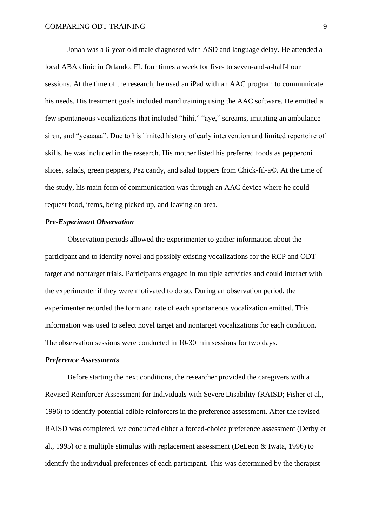Jonah was a 6-year-old male diagnosed with ASD and language delay. He attended a local ABA clinic in Orlando, FL four times a week for five- to seven-and-a-half-hour sessions. At the time of the research, he used an iPad with an AAC program to communicate his needs. His treatment goals included mand training using the AAC software. He emitted a few spontaneous vocalizations that included "hihi," "aye," screams, imitating an ambulance siren, and "yeaaaaa". Due to his limited history of early intervention and limited repertoire of skills, he was included in the research. His mother listed his preferred foods as pepperoni slices, salads, green peppers, Pez candy, and salad toppers from Chick-fil-a©. At the time of the study, his main form of communication was through an AAC device where he could request food, items, being picked up, and leaving an area.

## *Pre-Experiment Observation*

Observation periods allowed the experimenter to gather information about the participant and to identify novel and possibly existing vocalizations for the RCP and ODT target and nontarget trials. Participants engaged in multiple activities and could interact with the experimenter if they were motivated to do so. During an observation period, the experimenter recorded the form and rate of each spontaneous vocalization emitted. This information was used to select novel target and nontarget vocalizations for each condition. The observation sessions were conducted in 10-30 min sessions for two days.

## *Preference Assessments*

Before starting the next conditions, the researcher provided the caregivers with a Revised Reinforcer Assessment for Individuals with Severe Disability (RAISD; Fisher et al., 1996) to identify potential edible reinforcers in the preference assessment. After the revised RAISD was completed, we conducted either a forced-choice preference assessment (Derby et al., 1995) or a multiple stimulus with replacement assessment (DeLeon & Iwata, 1996) to identify the individual preferences of each participant. This was determined by the therapist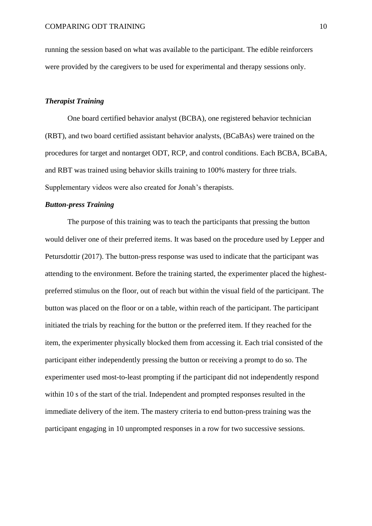running the session based on what was available to the participant. The edible reinforcers were provided by the caregivers to be used for experimental and therapy sessions only.

## *Therapist Training*

One board certified behavior analyst (BCBA), one registered behavior technician (RBT), and two board certified assistant behavior analysts, (BCaBAs) were trained on the procedures for target and nontarget ODT, RCP, and control conditions. Each BCBA, BCaBA, and RBT was trained using behavior skills training to 100% mastery for three trials. Supplementary videos were also created for Jonah's therapists.

## *Button-press Training*

The purpose of this training was to teach the participants that pressing the button would deliver one of their preferred items. It was based on the procedure used by Lepper and Petursdottir (2017). The button-press response was used to indicate that the participant was attending to the environment. Before the training started, the experimenter placed the highestpreferred stimulus on the floor, out of reach but within the visual field of the participant. The button was placed on the floor or on a table, within reach of the participant. The participant initiated the trials by reaching for the button or the preferred item. If they reached for the item, the experimenter physically blocked them from accessing it. Each trial consisted of the participant either independently pressing the button or receiving a prompt to do so. The experimenter used most-to-least prompting if the participant did not independently respond within 10 s of the start of the trial. Independent and prompted responses resulted in the immediate delivery of the item. The mastery criteria to end button-press training was the participant engaging in 10 unprompted responses in a row for two successive sessions.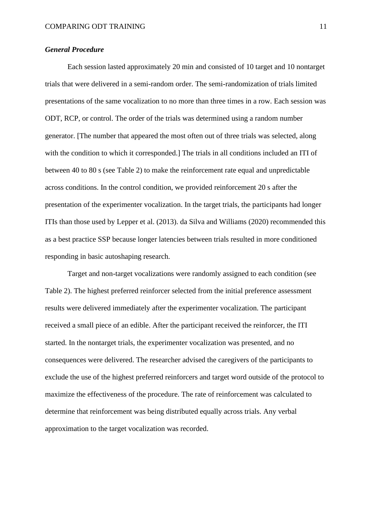### *General Procedure*

Each session lasted approximately 20 min and consisted of 10 target and 10 nontarget trials that were delivered in a semi-random order. The semi-randomization of trials limited presentations of the same vocalization to no more than three times in a row. Each session was ODT, RCP, or control. The order of the trials was determined using a random number generator. [The number that appeared the most often out of three trials was selected, along with the condition to which it corresponded.] The trials in all conditions included an ITI of between 40 to 80 s (see Table 2) to make the reinforcement rate equal and unpredictable across conditions. In the control condition, we provided reinforcement 20 s after the presentation of the experimenter vocalization. In the target trials, the participants had longer ITIs than those used by Lepper et al. (2013). da Silva and Williams (2020) recommended this as a best practice SSP because longer latencies between trials resulted in more conditioned responding in basic autoshaping research.

Target and non-target vocalizations were randomly assigned to each condition (see Table 2). The highest preferred reinforcer selected from the initial preference assessment results were delivered immediately after the experimenter vocalization. The participant received a small piece of an edible. After the participant received the reinforcer, the ITI started. In the nontarget trials, the experimenter vocalization was presented, and no consequences were delivered. The researcher advised the caregivers of the participants to exclude the use of the highest preferred reinforcers and target word outside of the protocol to maximize the effectiveness of the procedure. The rate of reinforcement was calculated to determine that reinforcement was being distributed equally across trials. Any verbal approximation to the target vocalization was recorded.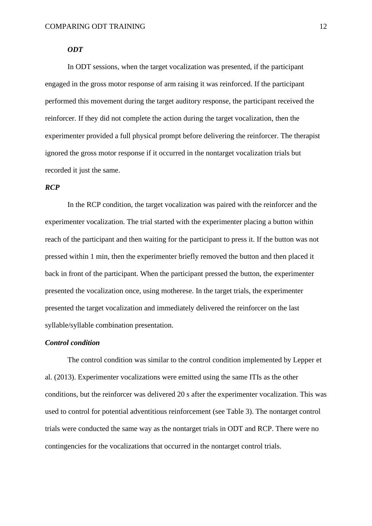#### *ODT*

In ODT sessions, when the target vocalization was presented, if the participant engaged in the gross motor response of arm raising it was reinforced. If the participant performed this movement during the target auditory response, the participant received the reinforcer. If they did not complete the action during the target vocalization, then the experimenter provided a full physical prompt before delivering the reinforcer. The therapist ignored the gross motor response if it occurred in the nontarget vocalization trials but recorded it just the same.

#### *RCP*

In the RCP condition, the target vocalization was paired with the reinforcer and the experimenter vocalization. The trial started with the experimenter placing a button within reach of the participant and then waiting for the participant to press it. If the button was not pressed within 1 min, then the experimenter briefly removed the button and then placed it back in front of the participant. When the participant pressed the button, the experimenter presented the vocalization once, using motherese. In the target trials, the experimenter presented the target vocalization and immediately delivered the reinforcer on the last syllable/syllable combination presentation.

## *Control condition*

The control condition was similar to the control condition implemented by Lepper et al. (2013). Experimenter vocalizations were emitted using the same ITIs as the other conditions, but the reinforcer was delivered 20 s after the experimenter vocalization. This was used to control for potential adventitious reinforcement (see Table 3). The nontarget control trials were conducted the same way as the nontarget trials in ODT and RCP. There were no contingencies for the vocalizations that occurred in the nontarget control trials.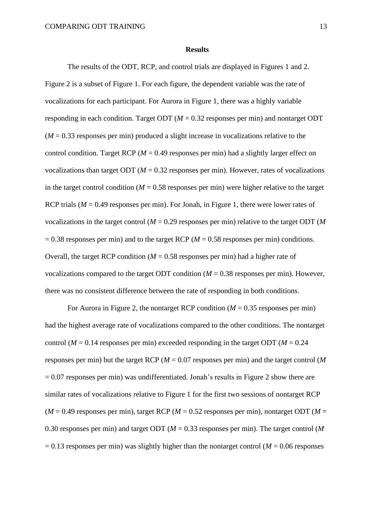#### **Results**

The results of the ODT, RCP, and control trials are displayed in Figures 1 and 2. Figure 2 is a subset of Figure 1. For each figure, the dependent variable was the rate of vocalizations for each participant. For Aurora in Figure 1, there was a highly variable responding in each condition. Target ODT ( $M = 0.32$  responses per min) and nontarget ODT  $(M = 0.33$  responses per min) produced a slight increase in vocalizations relative to the control condition. Target RCP ( $M = 0.49$  responses per min) had a slightly larger effect on vocalizations than target ODT ( $M = 0.32$  responses per min). However, rates of vocalizations in the target control condition ( $M = 0.58$  responses per min) were higher relative to the target RCP trials ( $M = 0.49$  responses per min). For Jonah, in Figure 1, there were lower rates of vocalizations in the target control (*M* = 0.29 responses per min) relative to the target ODT (*M*  $= 0.38$  responses per min) and to the target RCP ( $M = 0.58$  responses per min) conditions. Overall, the target RCP condition  $(M = 0.58$  responses per min) had a higher rate of vocalizations compared to the target ODT condition  $(M = 0.38$  responses per min). However, there was no consistent difference between the rate of responding in both conditions.

For Aurora in Figure 2, the nontarget RCP condition  $(M = 0.35$  responses per min) had the highest average rate of vocalizations compared to the other conditions. The nontarget control ( $M = 0.14$  responses per min) exceeded responding in the target ODT ( $M = 0.24$ ) responses per min) but the target RCP (*M* = 0.07 responses per min) and the target control (*M*  $= 0.07$  responses per min) was undifferentiated. Jonah's results in Figure 2 show there are similar rates of vocalizations relative to Figure 1 for the first two sessions of nontarget RCP  $(M = 0.49$  responses per min), target RCP ( $M = 0.52$  responses per min), nontarget ODT ( $M = 0.52$ ) 0.30 responses per min) and target ODT (*M* = 0.33 responses per min). The target control (*M*  $= 0.13$  responses per min) was slightly higher than the nontarget control ( $M = 0.06$  responses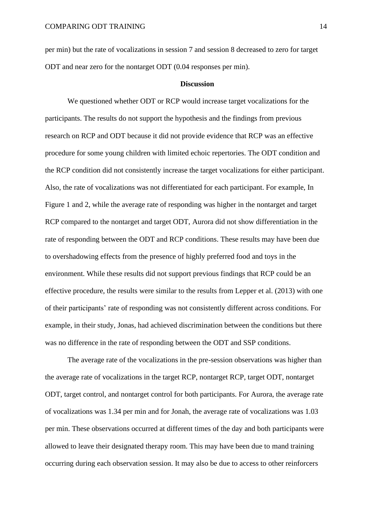per min) but the rate of vocalizations in session 7 and session 8 decreased to zero for target ODT and near zero for the nontarget ODT (0.04 responses per min).

#### **Discussion**

We questioned whether ODT or RCP would increase target vocalizations for the participants. The results do not support the hypothesis and the findings from previous research on RCP and ODT because it did not provide evidence that RCP was an effective procedure for some young children with limited echoic repertories. The ODT condition and the RCP condition did not consistently increase the target vocalizations for either participant. Also, the rate of vocalizations was not differentiated for each participant. For example, In Figure 1 and 2, while the average rate of responding was higher in the nontarget and target RCP compared to the nontarget and target ODT, Aurora did not show differentiation in the rate of responding between the ODT and RCP conditions. These results may have been due to overshadowing effects from the presence of highly preferred food and toys in the environment. While these results did not support previous findings that RCP could be an effective procedure, the results were similar to the results from Lepper et al. (2013) with one of their participants' rate of responding was not consistently different across conditions. For example, in their study, Jonas, had achieved discrimination between the conditions but there was no difference in the rate of responding between the ODT and SSP conditions.

The average rate of the vocalizations in the pre-session observations was higher than the average rate of vocalizations in the target RCP, nontarget RCP, target ODT, nontarget ODT, target control, and nontarget control for both participants. For Aurora, the average rate of vocalizations was 1.34 per min and for Jonah, the average rate of vocalizations was 1.03 per min. These observations occurred at different times of the day and both participants were allowed to leave their designated therapy room. This may have been due to mand training occurring during each observation session. It may also be due to access to other reinforcers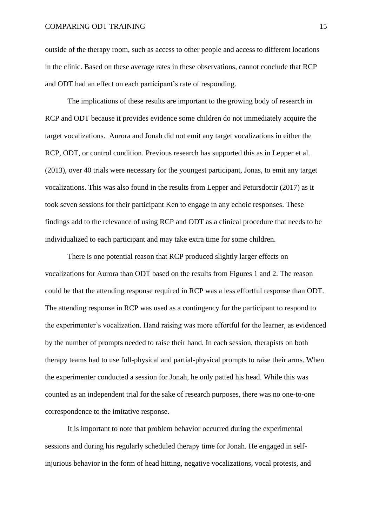outside of the therapy room, such as access to other people and access to different locations in the clinic. Based on these average rates in these observations, cannot conclude that RCP and ODT had an effect on each participant's rate of responding.

The implications of these results are important to the growing body of research in RCP and ODT because it provides evidence some children do not immediately acquire the target vocalizations. Aurora and Jonah did not emit any target vocalizations in either the RCP, ODT, or control condition. Previous research has supported this as in Lepper et al. (2013), over 40 trials were necessary for the youngest participant, Jonas, to emit any target vocalizations. This was also found in the results from Lepper and Petursdottir (2017) as it took seven sessions for their participant Ken to engage in any echoic responses. These findings add to the relevance of using RCP and ODT as a clinical procedure that needs to be individualized to each participant and may take extra time for some children.

There is one potential reason that RCP produced slightly larger effects on vocalizations for Aurora than ODT based on the results from Figures 1 and 2. The reason could be that the attending response required in RCP was a less effortful response than ODT. The attending response in RCP was used as a contingency for the participant to respond to the experimenter's vocalization. Hand raising was more effortful for the learner, as evidenced by the number of prompts needed to raise their hand. In each session, therapists on both therapy teams had to use full-physical and partial-physical prompts to raise their arms. When the experimenter conducted a session for Jonah, he only patted his head. While this was counted as an independent trial for the sake of research purposes, there was no one-to-one correspondence to the imitative response.

It is important to note that problem behavior occurred during the experimental sessions and during his regularly scheduled therapy time for Jonah. He engaged in selfinjurious behavior in the form of head hitting, negative vocalizations, vocal protests, and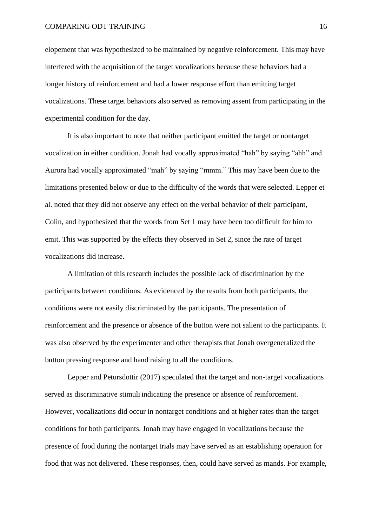#### COMPARING ODT TRAINING 16

elopement that was hypothesized to be maintained by negative reinforcement. This may have interfered with the acquisition of the target vocalizations because these behaviors had a longer history of reinforcement and had a lower response effort than emitting target vocalizations. These target behaviors also served as removing assent from participating in the experimental condition for the day.

It is also important to note that neither participant emitted the target or nontarget vocalization in either condition. Jonah had vocally approximated "hah" by saying "ahh" and Aurora had vocally approximated "mah" by saying "mmm." This may have been due to the limitations presented below or due to the difficulty of the words that were selected. Lepper et al. noted that they did not observe any effect on the verbal behavior of their participant, Colin, and hypothesized that the words from Set 1 may have been too difficult for him to emit. This was supported by the effects they observed in Set 2, since the rate of target vocalizations did increase.

A limitation of this research includes the possible lack of discrimination by the participants between conditions. As evidenced by the results from both participants, the conditions were not easily discriminated by the participants. The presentation of reinforcement and the presence or absence of the button were not salient to the participants. It was also observed by the experimenter and other therapists that Jonah overgeneralized the button pressing response and hand raising to all the conditions.

Lepper and Petursdottir (2017) speculated that the target and non-target vocalizations served as discriminative stimuli indicating the presence or absence of reinforcement. However, vocalizations did occur in nontarget conditions and at higher rates than the target conditions for both participants. Jonah may have engaged in vocalizations because the presence of food during the nontarget trials may have served as an establishing operation for food that was not delivered. These responses, then, could have served as mands. For example,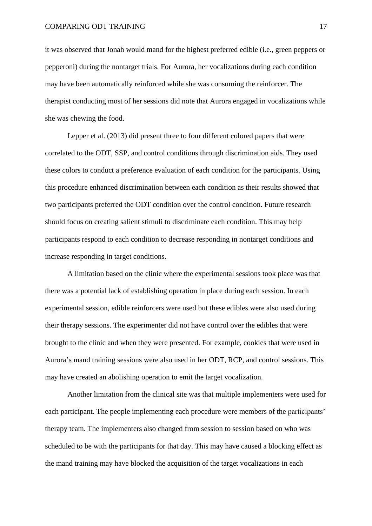it was observed that Jonah would mand for the highest preferred edible (i.e., green peppers or pepperoni) during the nontarget trials. For Aurora, her vocalizations during each condition may have been automatically reinforced while she was consuming the reinforcer. The therapist conducting most of her sessions did note that Aurora engaged in vocalizations while she was chewing the food.

Lepper et al. (2013) did present three to four different colored papers that were correlated to the ODT, SSP, and control conditions through discrimination aids. They used these colors to conduct a preference evaluation of each condition for the participants. Using this procedure enhanced discrimination between each condition as their results showed that two participants preferred the ODT condition over the control condition. Future research should focus on creating salient stimuli to discriminate each condition. This may help participants respond to each condition to decrease responding in nontarget conditions and increase responding in target conditions.

A limitation based on the clinic where the experimental sessions took place was that there was a potential lack of establishing operation in place during each session. In each experimental session, edible reinforcers were used but these edibles were also used during their therapy sessions. The experimenter did not have control over the edibles that were brought to the clinic and when they were presented. For example, cookies that were used in Aurora's mand training sessions were also used in her ODT, RCP, and control sessions. This may have created an abolishing operation to emit the target vocalization.

Another limitation from the clinical site was that multiple implementers were used for each participant. The people implementing each procedure were members of the participants' therapy team. The implementers also changed from session to session based on who was scheduled to be with the participants for that day. This may have caused a blocking effect as the mand training may have blocked the acquisition of the target vocalizations in each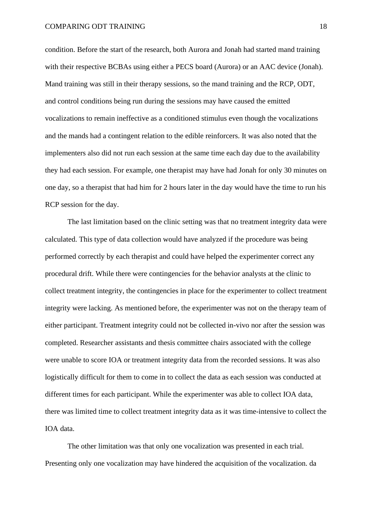condition. Before the start of the research, both Aurora and Jonah had started mand training with their respective BCBAs using either a PECS board (Aurora) or an AAC device (Jonah). Mand training was still in their therapy sessions, so the mand training and the RCP, ODT, and control conditions being run during the sessions may have caused the emitted vocalizations to remain ineffective as a conditioned stimulus even though the vocalizations and the mands had a contingent relation to the edible reinforcers. It was also noted that the implementers also did not run each session at the same time each day due to the availability they had each session. For example, one therapist may have had Jonah for only 30 minutes on one day, so a therapist that had him for 2 hours later in the day would have the time to run his RCP session for the day.

The last limitation based on the clinic setting was that no treatment integrity data were calculated. This type of data collection would have analyzed if the procedure was being performed correctly by each therapist and could have helped the experimenter correct any procedural drift. While there were contingencies for the behavior analysts at the clinic to collect treatment integrity, the contingencies in place for the experimenter to collect treatment integrity were lacking. As mentioned before, the experimenter was not on the therapy team of either participant. Treatment integrity could not be collected in-vivo nor after the session was completed. Researcher assistants and thesis committee chairs associated with the college were unable to score IOA or treatment integrity data from the recorded sessions. It was also logistically difficult for them to come in to collect the data as each session was conducted at different times for each participant. While the experimenter was able to collect IOA data, there was limited time to collect treatment integrity data as it was time-intensive to collect the IOA data.

The other limitation was that only one vocalization was presented in each trial. Presenting only one vocalization may have hindered the acquisition of the vocalization. da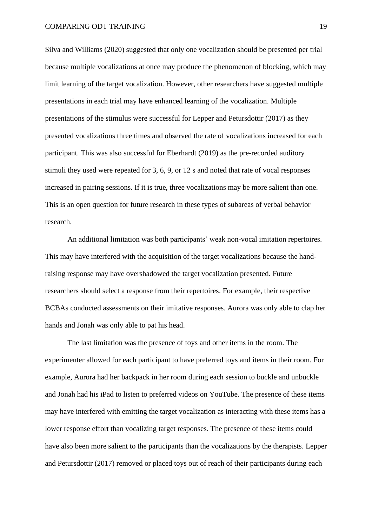Silva and Williams (2020) suggested that only one vocalization should be presented per trial because multiple vocalizations at once may produce the phenomenon of blocking, which may limit learning of the target vocalization. However, other researchers have suggested multiple presentations in each trial may have enhanced learning of the vocalization. Multiple presentations of the stimulus were successful for Lepper and Petursdottir (2017) as they presented vocalizations three times and observed the rate of vocalizations increased for each participant. This was also successful for Eberhardt (2019) as the pre-recorded auditory stimuli they used were repeated for 3, 6, 9, or 12 s and noted that rate of vocal responses increased in pairing sessions. If it is true, three vocalizations may be more salient than one. This is an open question for future research in these types of subareas of verbal behavior research.

An additional limitation was both participants' weak non-vocal imitation repertoires. This may have interfered with the acquisition of the target vocalizations because the handraising response may have overshadowed the target vocalization presented. Future researchers should select a response from their repertoires. For example, their respective BCBAs conducted assessments on their imitative responses. Aurora was only able to clap her hands and Jonah was only able to pat his head.

The last limitation was the presence of toys and other items in the room. The experimenter allowed for each participant to have preferred toys and items in their room. For example, Aurora had her backpack in her room during each session to buckle and unbuckle and Jonah had his iPad to listen to preferred videos on YouTube. The presence of these items may have interfered with emitting the target vocalization as interacting with these items has a lower response effort than vocalizing target responses. The presence of these items could have also been more salient to the participants than the vocalizations by the therapists. Lepper and Petursdottir (2017) removed or placed toys out of reach of their participants during each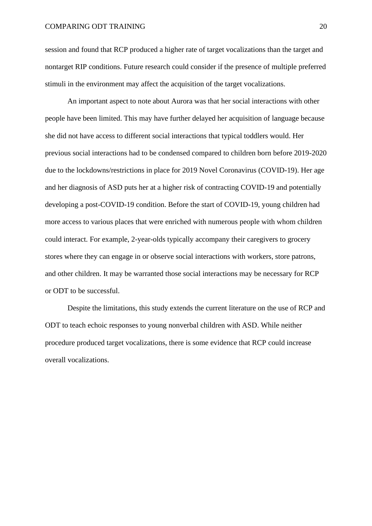session and found that RCP produced a higher rate of target vocalizations than the target and nontarget RIP conditions. Future research could consider if the presence of multiple preferred stimuli in the environment may affect the acquisition of the target vocalizations.

An important aspect to note about Aurora was that her social interactions with other people have been limited. This may have further delayed her acquisition of language because she did not have access to different social interactions that typical toddlers would. Her previous social interactions had to be condensed compared to children born before 2019-2020 due to the lockdowns/restrictions in place for 2019 Novel Coronavirus (COVID-19). Her age and her diagnosis of ASD puts her at a higher risk of contracting COVID-19 and potentially developing a post-COVID-19 condition. Before the start of COVID-19, young children had more access to various places that were enriched with numerous people with whom children could interact. For example, 2-year-olds typically accompany their caregivers to grocery stores where they can engage in or observe social interactions with workers, store patrons, and other children. It may be warranted those social interactions may be necessary for RCP or ODT to be successful.

Despite the limitations, this study extends the current literature on the use of RCP and ODT to teach echoic responses to young nonverbal children with ASD. While neither procedure produced target vocalizations, there is some evidence that RCP could increase overall vocalizations.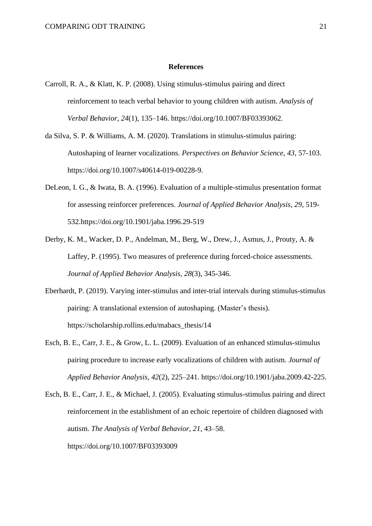#### **References**

- Carroll, R. A., & Klatt, K. P. (2008). Using stimulus-stimulus pairing and direct reinforcement to teach verbal behavior to young children with autism. *Analysis of Verbal Behavior*, *24*(1), 135–146. https://doi.org/10.1007/BF03393062.
- da Silva, S. P. & Williams, A. M. (2020). Translations in stimulus-stimulus pairing: Autoshaping of learner vocalizations. *Perspectives on Behavior Science*, *43*, 57-103. https://doi.org/10.1007/s40614-019-00228-9.
- DeLeon, I. G., & Iwata, B. A. (1996). Evaluation of a multiple-stimulus presentation format for assessing reinforcer preferences. *Journal of Applied Behavior Analysis*, *29*, 519- 532.https://doi.org/10.1901/jaba.1996.29-519
- Derby, K. M., Wacker, D. P., Andelman, M., Berg, W., Drew, J., Asmus, J., Prouty, A. & Laffey, P. (1995). Two measures of preference during forced-choice assessments. *Journal of Applied Behavior Analysis*, *28*(3), 345-346.
- Eberhardt, P. (2019). Varying inter-stimulus and inter-trial intervals during stimulus-stimulus pairing: A translational extension of autoshaping. (Master's thesis). https://scholarship.rollins.edu/mabacs\_thesis/14
- Esch, B. E., Carr, J. E., & Grow, L. L. (2009). Evaluation of an enhanced stimulus-stimulus pairing procedure to increase early vocalizations of children with autism. *Journal of Applied Behavior Analysis*, *42*(2), 225–241. https://doi.org/10.1901/jaba.2009.42-225.
- Esch, B. E., Carr, J. E., & Michael, J. (2005). Evaluating stimulus-stimulus pairing and direct reinforcement in the establishment of an echoic repertoire of children diagnosed with autism. *The Analysis of Verbal Behavior*, *21*, 43–58. https://doi.org/10.1007/BF03393009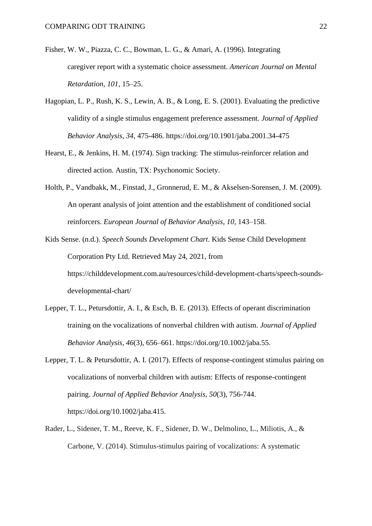- Fisher, W. W., Piazza, C. C., Bowman, L. G., & Amari, A. (1996). Integrating caregiver report with a systematic choice assessment. *American Journal on Mental Retardation*, *101*, 15–25.
- Hagopian, L. P., Rush, K. S., Lewin, A. B., & Long, E. S. (2001). Evaluating the predictive validity of a single stimulus engagement preference assessment. *Journal of Applied Behavior Analysis*, *34*, 475-486. https://doi.org/10.1901/jaba.2001.34-475
- Hearst, E., & Jenkins, H. M. (1974). Sign tracking: The stimulus-reinforcer relation and directed action. Austin, TX: Psychonomic Society.
- Holth, P., Vandbakk, M., Finstad, J., Gronnerud, E. M., & Akselsen-Sorensen, J. M. (2009). An operant analysis of joint attention and the establishment of conditioned social reinforcers. *European Journal of Behavior Analysis*, *10*, 143–158.
- Kids Sense. (n.d.). *Speech Sounds Development Chart*. Kids Sense Child Development Corporation Pty Ltd. Retrieved May 24, 2021, from https://childdevelopment.com.au/resources/child-development-charts/speech-soundsdevelopmental-chart/
- Lepper, T. L., Petursdottir, A. I., & Esch, B. E. (2013). Effects of operant discrimination training on the vocalizations of nonverbal children with autism. *Journal of Applied Behavior Analysis*, *46*(3), 656–661. https://doi.org/10.1002/jaba.55.
- Lepper, T. L. & Petursdottir, A. I. (2017). Effects of response-contingent stimulus pairing on vocalizations of nonverbal children with autism: Effects of response-contingent pairing. *Journal of Applied Behavior Analysis*, *50*(3), 756-744. https://doi.org/10.1002/jaba.415.
- Rader, L., Sidener, T. M., Reeve, K. F., Sidener, D. W., Delmolino, L., Miliotis, A., & Carbone, V. (2014). Stimulus-stimulus pairing of vocalizations: A systematic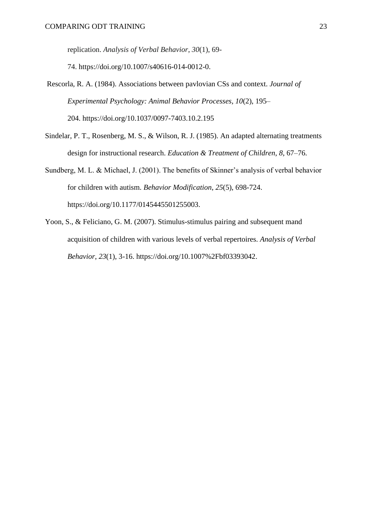replication. *Analysis of Verbal Behavior*, *30*(1), 69-

74. https://doi.org/10.1007/s40616-014-0012-0.

- Rescorla, R. A. (1984). Associations between pavlovian CSs and context. *Journal of Experimental Psychology: Animal Behavior Processes, 10*(2), 195– 204. https://doi.org/10.1037/0097-7403.10.2.195
- Sindelar, P. T., Rosenberg, M. S., & Wilson, R. J. (1985). An adapted alternating treatments design for instructional research. *Education & Treatment of Children*, *8*, 67–76.
- Sundberg, M. L. & Michael, J. (2001). The benefits of Skinner's analysis of verbal behavior for children with autism. *Behavior Modification*, *25*(5), 698-724. https://doi.org/10.1177/0145445501255003.
- Yoon, S., & Feliciano, G. M. (2007). Stimulus-stimulus pairing and subsequent mand acquisition of children with various levels of verbal repertoires. *Analysis of Verbal Behavior*, *23*(1), 3-16. https://doi.org/10.1007%2Fbf03393042.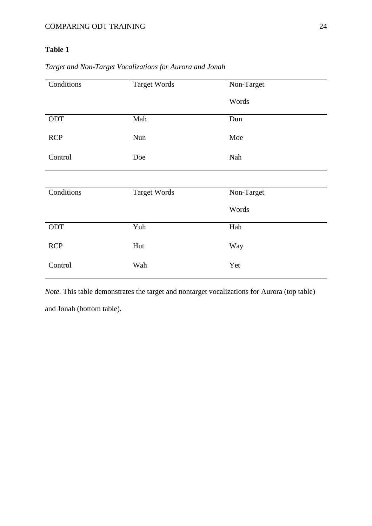# **Table 1**

| Conditions | <b>Target Words</b> | Non-Target |
|------------|---------------------|------------|
|            |                     | Words      |
| ODT        | Mah                 | Dun        |
| <b>RCP</b> | Nun                 | Moe        |
| Control    | Doe                 | Nah        |
|            |                     |            |
| Conditions | <b>Target Words</b> | Non-Target |
|            |                     | Words      |
| ODT        | Yuh                 | Hah        |
| <b>RCP</b> | Hut                 | Way        |
| Control    | Wah                 | Yet        |

*Target and Non-Target Vocalizations for Aurora and Jonah*

*Note*. This table demonstrates the target and nontarget vocalizations for Aurora (top table) and Jonah (bottom table).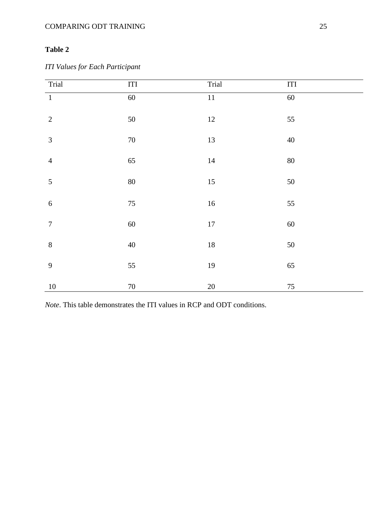# COMPARING ODT TRAINING 25

# **Table 2**

*ITI Values for Each Participant*

| Trial            | $\rm{ITI}$ | Trial           | ITI    |
|------------------|------------|-----------------|--------|
| $\overline{1}$   | 60         | $\overline{11}$ | 60     |
| $\overline{2}$   | 50         | 12              | 55     |
| $\overline{3}$   | $70\,$     | 13              | $40\,$ |
| $\overline{4}$   | 65         | $14\,$          | 80     |
| 5                | $80\,$     | $15\,$          | $50\,$ |
| $\boldsymbol{6}$ | $75\,$     | $16\,$          | 55     |
| $\boldsymbol{7}$ | 60         | $17\,$          | 60     |
| $\,8\,$          | $40\,$     | 18              | 50     |
| 9                | 55         | 19              | 65     |
| $10\,$           | $70\,$     | $20\,$          | $75\,$ |

*Note*. This table demonstrates the ITI values in RCP and ODT conditions.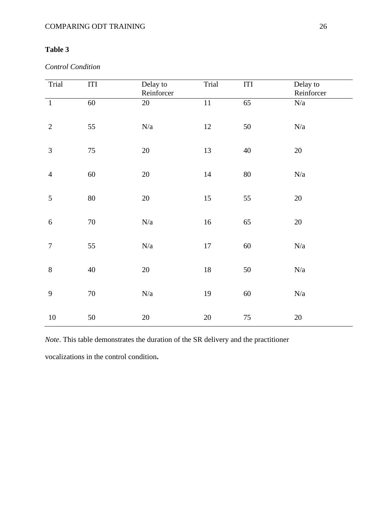# **Table 3**

*Control Condition*

| Trial            | $\rm ITI$ | Delay to<br>Reinforcer | Trial           | $\rm ITI$       | Delay to<br>Reinforcer  |
|------------------|-----------|------------------------|-----------------|-----------------|-------------------------|
| $\overline{1}$   | 60        | 20                     | $\overline{11}$ | $\overline{65}$ | ${\rm N/a}$             |
| $\overline{2}$   | 55        | $N\!/\!a$              | 12              | 50              | N/a                     |
| $\mathfrak{Z}$   | $75\,$    | $20\,$                 | 13              | $40\,$          | $20\,$                  |
| $\overline{4}$   | 60        | $20\,$                 | 14              | $80\,$          | N/a                     |
| 5                | 80        | $20\,$                 | 15              | 55              | $20\,$                  |
| $\sqrt{6}$       | $70\,$    | $N\!/\!a$              | 16              | 65              | $20\,$                  |
| $\boldsymbol{7}$ | 55        | $N\!/\!a$              | $17\,$          | $60\,$          | $\mathrm{N}/\mathrm{a}$ |
| 8                | $40\,$    | $20\,$                 | 18              | 50              | N/a                     |
| 9                | $70\,$    | $N\!/\!a$              | 19              | $60\,$          | $\mathrm{N}/\mathrm{a}$ |
| $10\,$           | 50        | $20\,$                 | $20\,$          | 75              | $20\,$                  |

*Note*. This table demonstrates the duration of the SR delivery and the practitioner

vocalizations in the control condition**.**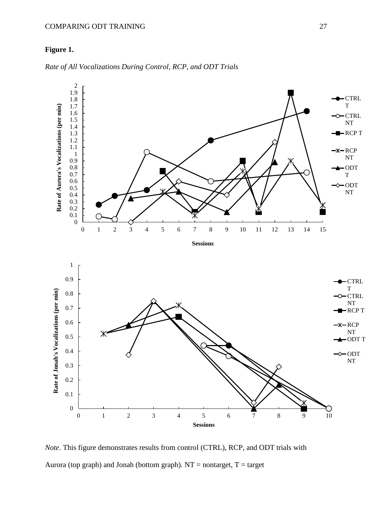## COMPARING ODT TRAINING 27

# **Figure 1.**



*Rate of All Vocalizations During Control, RCP, and ODT Trials*

*Note*. This figure demonstrates results from control (CTRL), RCP, and ODT trials with Aurora (top graph) and Jonah (bottom graph).  $NT =$  nontarget,  $T =$  target